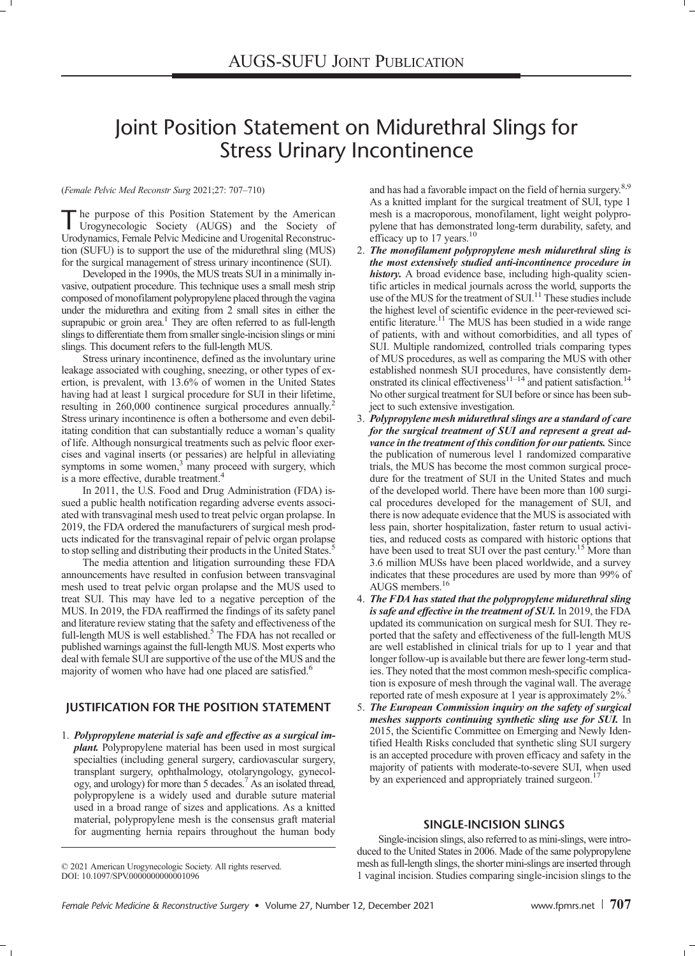# Joint Position Statement on Midurethral Slings for Stress Urinary Incontinence

#### (Female Pelvic Med Reconstr Surg 2021;27: 707–710)

The purpose of this Position Statement by the American<br>Urogynecologic Society (AUGS) and the Society of Urodynamics, Female Pelvic Medicine and Urogenital Reconstruction (SUFU) is to support the use of the midurethral sling (MUS) for the surgical management of stress urinary incontinence (SUI).

Developed in the 1990s, the MUS treats SUI in a minimally invasive, outpatient procedure. This technique uses a small mesh strip composed of monofilament polypropylene placed through the vagina under the midurethra and exiting from 2 small sites in either the suprapubic or groin area.<sup>1</sup> They are often referred to as full-length slings to differentiate them from smaller single-incision slings or mini slings. This document refers to the full-length MUS.

Stress urinary incontinence, defined as the involuntary urine leakage associated with coughing, sneezing, or other types of exertion, is prevalent, with 13.6% of women in the United States having had at least 1 surgical procedure for SUI in their lifetime, resulting in 260,000 continence surgical procedures annually.<sup>2</sup> Stress urinary incontinence is often a bothersome and even debilitating condition that can substantially reduce a woman's quality of life. Although nonsurgical treatments such as pelvic floor exercises and vaginal inserts (or pessaries) are helpful in alleviating symptoms in some women, $3$  many proceed with surgery, which is a more effective, durable treatment.<sup>4</sup>

In 2011, the U.S. Food and Drug Administration (FDA) issued a public health notification regarding adverse events associated with transvaginal mesh used to treat pelvic organ prolapse. In 2019, the FDA ordered the manufacturers of surgical mesh products indicated for the transvaginal repair of pelvic organ prolapse to stop selling and distributing their products in the United States.<sup>5</sup>

The media attention and litigation surrounding these FDA announcements have resulted in confusion between transvaginal mesh used to treat pelvic organ prolapse and the MUS used to treat SUI. This may have led to a negative perception of the MUS. In 2019, the FDA reaffirmed the findings of its safety panel and literature review stating that the safety and effectiveness of the full-length MUS is well established.<sup>5</sup> The FDA has not recalled or published warnings against the full-length MUS. Most experts who deal with female SUI are supportive of the use of the MUS and the majority of women who have had one placed are satisfied.<sup>6</sup>

### JUSTIFICATION FOR THE POSITION STATEMENT

1. Polypropylene material is safe and effective as a surgical implant. Polypropylene material has been used in most surgical specialties (including general surgery, cardiovascular surgery, transplant surgery, ophthalmology, otolaryngology, gynecology, and urology) for more than 5 decades.7 As an isolated thread, polypropylene is a widely used and durable suture material used in a broad range of sizes and applications. As a knitted material, polypropylene mesh is the consensus graft material for augmenting hernia repairs throughout the human body

and has had a favorable impact on the field of hernia surgery.<sup>8,9</sup> As a knitted implant for the surgical treatment of SUI, type 1 mesh is a macroporous, monofilament, light weight polypropylene that has demonstrated long-term durability, safety, and efficacy up to 17 years.<sup>10</sup>

- 2. The monofilament polypropylene mesh midurethral sling is the most extensively studied anti-incontinence procedure in history. A broad evidence base, including high-quality scientific articles in medical journals across the world, supports the use of the MUS for the treatment of SUI.<sup>11</sup> These studies include the highest level of scientific evidence in the peer-reviewed scientific literature.<sup>11</sup> The MUS has been studied in a wide range of patients, with and without comorbidities, and all types of SUI. Multiple randomized, controlled trials comparing types of MUS procedures, as well as comparing the MUS with other established nonmesh SUI procedures, have consistently dem-<br>onstrated its clinical effectiveness<sup>11–14</sup> and patient satisfaction.<sup>14</sup> No other surgical treatment for SUI before or since has been subject to such extensive investigation.
- 3. Polypropylene mesh midurethral slings are a standard of care for the surgical treatment of SUI and represent a great advance in the treatment of this condition for our patients. Since the publication of numerous level 1 randomized comparative trials, the MUS has become the most common surgical procedure for the treatment of SUI in the United States and much of the developed world. There have been more than 100 surgical procedures developed for the management of SUI, and there is now adequate evidence that the MUS is associated with less pain, shorter hospitalization, faster return to usual activities, and reduced costs as compared with historic options that have been used to treat SUI over the past century.<sup>15</sup> More than 3.6 million MUSs have been placed worldwide, and a survey indicates that these procedures are used by more than 99% of AUGS members. $<sup>1</sup>$ </sup>
- 4. The FDA has stated that the polypropylene midurethral sling is safe and effective in the treatment of SUI. In 2019, the FDA updated its communication on surgical mesh for SUI. They reported that the safety and effectiveness of the full-length MUS are well established in clinical trials for up to 1 year and that longer follow-up is available but there are fewer long-term studies. They noted that the most common mesh-specific complication is exposure of mesh through the vaginal wall. The average reported rate of mesh exposure at 1 year is approximately 2%.
- 5. The European Commission inquiry on the safety of surgical meshes supports continuing synthetic sling use for SUI. In 2015, the Scientific Committee on Emerging and Newly Identified Health Risks concluded that synthetic sling SUI surgery is an accepted procedure with proven efficacy and safety in the majority of patients with moderate-to-severe SUI, when used by an experienced and appropriately trained surgeon.<sup>1</sup>

#### SINGLE-INCISION SLINGS

Single-incision slings, also referred to as mini-slings, were introduced to the United States in 2006. Made of the same polypropylene mesh as full-length slings, the shorter mini-slings are inserted through 1 vaginal incision. Studies comparing single-incision slings to the

<sup>© 2021</sup> American Urogynecologic Society. All rights reserved. DOI: 10.1097/SPV.00000000000001096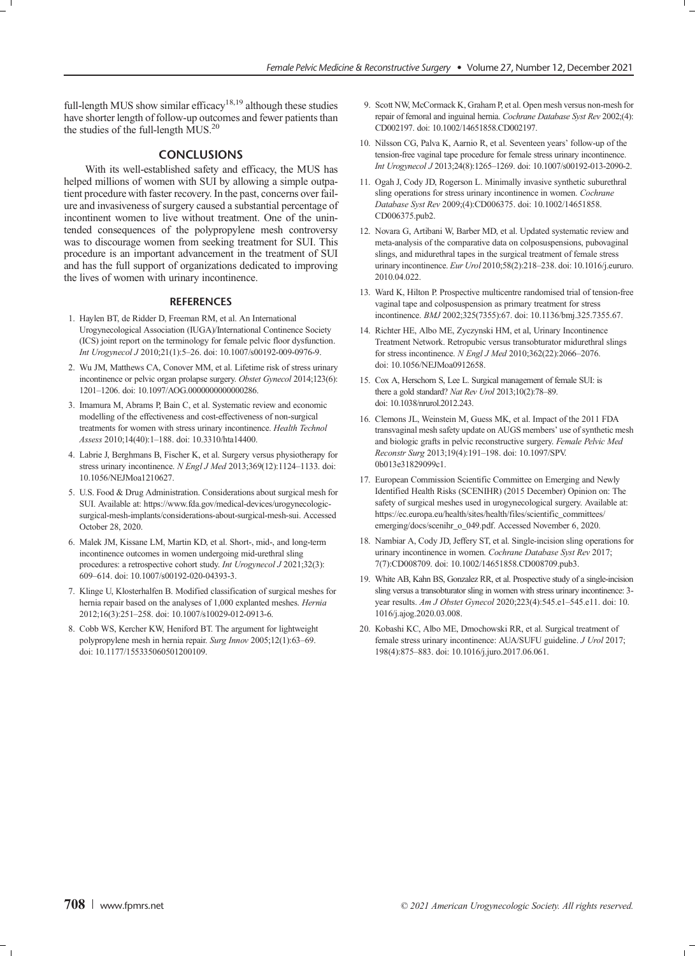full-length MUS show similar efficacy<sup>18,19</sup> although these studies have shorter length of follow-up outcomes and fewer patients than the studies of the full-length MUS.<sup>20</sup>

#### **CONCLUSIONS**

With its well-established safety and efficacy, the MUS has helped millions of women with SUI by allowing a simple outpatient procedure with faster recovery. In the past, concerns over failure and invasiveness of surgery caused a substantial percentage of incontinent women to live without treatment. One of the unintended consequences of the polypropylene mesh controversy was to discourage women from seeking treatment for SUI. This procedure is an important advancement in the treatment of SUI and has the full support of organizations dedicated to improving the lives of women with urinary incontinence.

#### **REFERENCES**

- 1. Haylen BT, de Ridder D, Freeman RM, et al. An International Urogynecological Association (IUGA)/International Continence Society (ICS) joint report on the terminology for female pelvic floor dysfunction. Int Urogynecol J 2010;21(1):5–26. doi: 10.1007/s00192-009-0976-9.
- 2. Wu JM, Matthews CA, Conover MM, et al. Lifetime risk of stress urinary incontinence or pelvic organ prolapse surgery. Obstet Gynecol 2014;123(6): 1201–1206. doi: 10.1097/AOG.0000000000000286.
- 3. Imamura M, Abrams P, Bain C, et al. Systematic review and economic modelling of the effectiveness and cost-effectiveness of non-surgical treatments for women with stress urinary incontinence. Health Technol Assess 2010;14(40):1–188. doi: 10.3310/hta14400.
- 4. Labrie J, Berghmans B, Fischer K, et al. Surgery versus physiotherapy for stress urinary incontinence. N Engl J Med 2013;369(12):1124–1133. doi: 10.1056/NEJMoa1210627.
- 5. U.S. Food & Drug Administration. Considerations about surgical mesh for SUI. Available at: [https://www.fda.gov/medical-devices/urogynecologic](https://www.fda.gov/medical-devices/urogynecologic-surgical-mesh-implants/considerations-about-surgical-mesh-sui)[surgical-mesh-implants/considerations-about-surgical-mesh-sui.](https://www.fda.gov/medical-devices/urogynecologic-surgical-mesh-implants/considerations-about-surgical-mesh-sui) Accessed October 28, 2020.
- 6. Malek JM, Kissane LM, Martin KD, et al. Short-, mid-, and long-term incontinence outcomes in women undergoing mid-urethral sling procedures: a retrospective cohort study. Int Urogynecol J 2021;32(3): 609–614. doi: 10.1007/s00192-020-04393-3.
- 7. Klinge U, Klosterhalfen B. Modified classification of surgical meshes for hernia repair based on the analyses of 1,000 explanted meshes. Hernia 2012;16(3):251–258. doi: 10.1007/s10029-012-0913-6.
- 8. Cobb WS, Kercher KW, Heniford BT. The argument for lightweight polypropylene mesh in hernia repair. Surg Innov 2005;12(1):63–69. doi: 10.1177/155335060501200109.
- 9. Scott NW, McCormack K, Graham P, et al. Open mesh versus non-mesh for repair of femoral and inguinal hernia. Cochrane Database Syst Rev 2002;(4): CD002197. doi: 10.1002/14651858.CD002197.
- 10. Nilsson CG, Palva K, Aarnio R, et al. Seventeen years' follow-up of the tension-free vaginal tape procedure for female stress urinary incontinence. Int Urogynecol J 2013;24(8):1265–1269. doi: 10.1007/s00192-013-2090-2.
- 11. Ogah J, Cody JD, Rogerson L. Minimally invasive synthetic suburethral sling operations for stress urinary incontinence in women. Cochrane Database Syst Rev 2009;(4):CD006375. doi: 10.1002/14651858. CD006375.pub2.
- 12. Novara G, Artibani W, Barber MD, et al. Updated systematic review and meta-analysis of the comparative data on colposuspensions, pubovaginal slings, and midurethral tapes in the surgical treatment of female stress urinary incontinence. Eur Urol 2010;58(2):218-238. doi: 10.1016/j.eururo. 2010.04.022.
- 13. Ward K, Hilton P. Prospective multicentre randomised trial of tension-free vaginal tape and colposuspension as primary treatment for stress incontinence. BMJ 2002;325(7355):67. doi: 10.1136/bmj.325.7355.67.
- 14. Richter HE, Albo ME, Zyczynski HM, et al, Urinary Incontinence Treatment Network. Retropubic versus transobturator midurethral slings for stress incontinence. N Engl J Med 2010;362(22):2066-2076. doi: 10.1056/NEJMoa0912658.
- 15. Cox A, Herschorn S, Lee L. Surgical management of female SUI: is there a gold standard? Nat Rev Urol 2013;10(2):78-89. doi: 10.1038/nrurol.2012.243.
- 16. Clemons JL, Weinstein M, Guess MK, et al. Impact of the 2011 FDA transvaginal mesh safety update on AUGS members' use of synthetic mesh and biologic grafts in pelvic reconstructive surgery. Female Pelvic Med Reconstr Surg 2013;19(4):191–198. doi: 10.1097/SPV. 0b013e31829099c1.
- 17. European Commission Scientific Committee on Emerging and Newly Identified Health Risks (SCENIHR) (2015 December) Opinion on: The safety of surgical meshes used in urogynecological surgery. Available at: [https://ec.europa.eu/health/sites/health/files/scientific\\_committees/](https://ec.europa.eu/health/sites/health/files/scientific_committees/emerging/docs/scenihr_o_049.pdf) [emerging/docs/scenihr\\_o\\_049.pdf.](https://ec.europa.eu/health/sites/health/files/scientific_committees/emerging/docs/scenihr_o_049.pdf) Accessed November 6, 2020.
- 18. Nambiar A, Cody JD, Jeffery ST, et al. Single-incision sling operations for urinary incontinence in women. Cochrane Database Syst Rev 2017; 7(7):CD008709. doi: 10.1002/14651858.CD008709.pub3.
- 19. White AB, Kahn BS, Gonzalez RR, et al. Prospective study of a single-incision sling versus a transobturator sling in women with stress urinary incontinence: 3 year results. Am J Obstet Gynecol 2020;223(4):545.e1-545.e11. doi: 10. 1016/j.ajog.2020.03.008.
- 20. Kobashi KC, Albo ME, Dmochowski RR, et al. Surgical treatment of female stress urinary incontinence: AUA/SUFU guideline. J Urol 2017; 198(4):875–883. doi: 10.1016/j.juro.2017.06.061.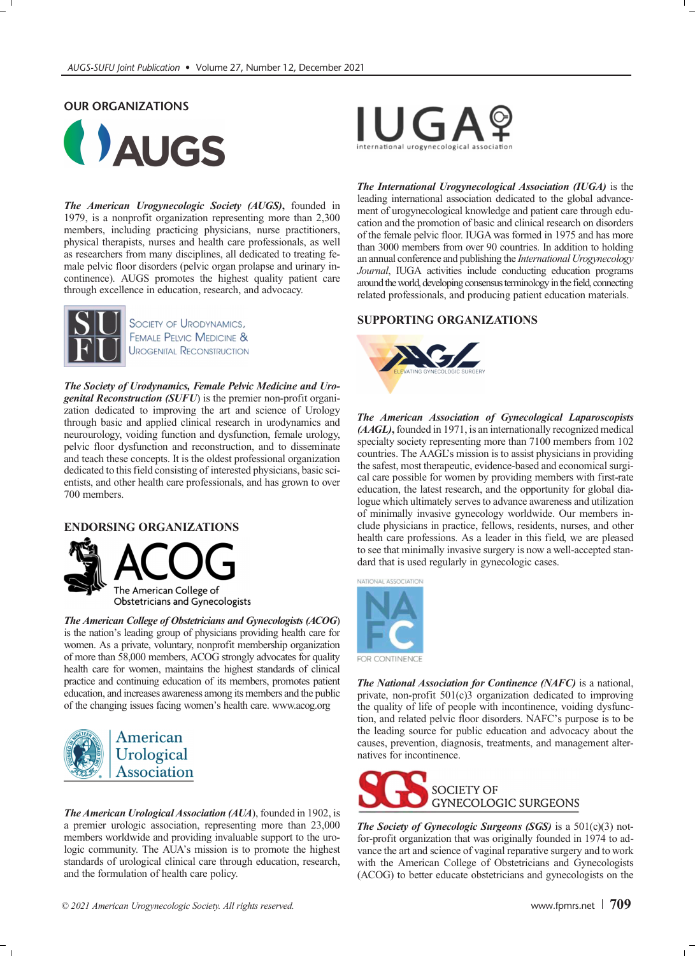## OUR ORGANIZATIONS



The American Urogynecologic Society (AUGS), founded in 1979, is a nonprofit organization representing more than 2,300 members, including practicing physicians, nurse practitioners, physical therapists, nurses and health care professionals, as well as researchers from many disciplines, all dedicated to treating female pelvic floor disorders (pelvic organ prolapse and urinary incontinence). AUGS promotes the highest quality patient care through excellence in education, research, and advocacy.



SOCIETY OF URODYNAMICS, **FEMALE PELVIC MEDICINE & UROGENITAL RECONSTRUCTION** 

The Society of Urodynamics, Female Pelvic Medicine and Urogenital Reconstruction (SUFU) is the premier non-profit organization dedicated to improving the art and science of Urology through basic and applied clinical research in urodynamics and neurourology, voiding function and dysfunction, female urology, pelvic floor dysfunction and reconstruction, and to disseminate and teach these concepts. It is the oldest professional organization dedicated to this field consisting of interested physicians, basic scientists, and other health care professionals, and has grown to over 700 members.

# ENDORSING ORGANIZATIONS



The American College of Obstetricians and Gynecologists (ACOG) is the nation's leading group of physicians providing health care for women. As a private, voluntary, nonprofit membership organization of more than 58,000 members, ACOG strongly advocates for quality health care for women, maintains the highest standards of clinical practice and continuing education of its members, promotes patient education, and increases awareness among its members and the public of the changing issues facing women's health care.<www.acog.org>



The American Urological Association (AUA), founded in 1902, is a premier urologic association, representing more than 23,000 members worldwide and providing invaluable support to the urologic community. The AUA's mission is to promote the highest standards of urological clinical care through education, research, and the formulation of health care policy.



The International Urogynecological Association (IUGA) is the leading international association dedicated to the global advancement of urogynecological knowledge and patient care through education and the promotion of basic and clinical research on disorders of the female pelvic floor. IUGA was formed in 1975 and has more than 3000 members from over 90 countries. In addition to holding an annual conference and publishing the International Urogynecology Journal, IUGA activities include conducting education programs around the world, developing consensus terminology in the field, connecting related professionals, and producing patient education materials.

#### SUPPORTING ORGANIZATIONS



The American Association of Gynecological Laparoscopists (AAGL), founded in 1971, is an internationally recognized medical specialty society representing more than 7100 members from 102 countries. The AAGL's mission is to assist physicians in providing the safest, most therapeutic, evidence-based and economical surgical care possible for women by providing members with first-rate education, the latest research, and the opportunity for global dialogue which ultimately serves to advance awareness and utilization of minimally invasive gynecology worldwide. Our members include physicians in practice, fellows, residents, nurses, and other health care professions. As a leader in this field, we are pleased to see that minimally invasive surgery is now a well-accepted standard that is used regularly in gynecologic cases.



**FOR CONTINENCE** 

The National Association for Continence (NAFC) is a national, private, non-profit 501(c)3 organization dedicated to improving the quality of life of people with incontinence, voiding dysfunction, and related pelvic floor disorders. NAFC's purpose is to be the leading source for public education and advocacy about the causes, prevention, diagnosis, treatments, and management alternatives for incontinence.



The Society of Gynecologic Surgeons (SGS) is a  $501(c)(3)$  notfor-profit organization that was originally founded in 1974 to advance the art and science of vaginal reparative surgery and to work with the American College of Obstetricians and Gynecologists (ACOG) to better educate obstetricians and gynecologists on the